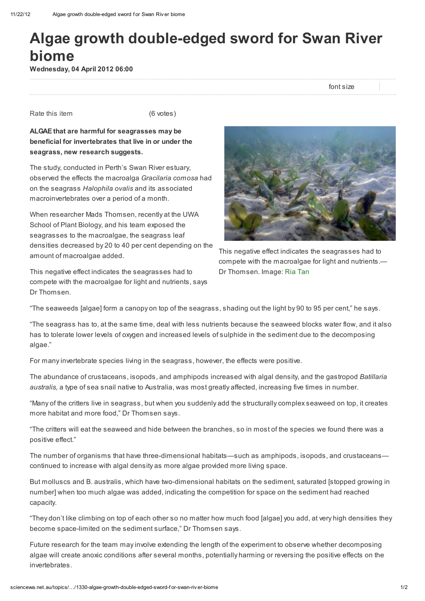## Algae growth double-edged sword for Swan River biome

Wednesday, 04 April 2012 06:00

font size

Rate this item (6 votes)

ALGAE that are harmful for seagrasses may be beneficial for invertebrates that live in or under the seagrass, new research suggests.

The study, conducted in Perth's Swan River estuary, observed the effects the macroalga Gracilaria comosa had on the seagrass Halophila ovalis and its associated macroinvertebrates over a period of a month.

When researcher Mads Thomsen, recently at the UWA School of Plant Biology, and his team exposed the seagrasses to the macroalgae, the seagrass leaf densities decreased by 20 to 40 per cent depending on the amount of macroalgae added.

This negative effect indicates the seagrasses had to compete with the macroalgae for light and nutrients, says Dr Thomsen.



This negative effect indicates the seagrasses had to compete with the macroalgae for light and nutrients.— Dr Thomsen. Image: Ria [Tan](http://www.flickr.com/photos/wildsingapore/6080218868/)

"The seaweeds [algae] form a canopy on top of the seagrass, shading out the light by 90 to 95 per cent," he says.

"The seagrass has to, at the same time, deal with less nutrients because the seaweed blocks water flow, and it also has to tolerate lower levels of oxygen and increased levels of sulphide in the sediment due to the decomposing algae."

For many invertebrate species living in the seagrass, however, the effects were positive.

The abundance of crustaceans, isopods, and amphipods increased with algal density, and the gastropod Batillaria australis, a type of sea snail native to Australia, was most greatly affected, increasing five times in number.

"Many of the critters live in seagrass, but when you suddenly add the structurally complex seaweed on top, it creates more habitat and more food," Dr Thomsen says.

"The critters will eat the seaweed and hide between the branches, so in most of the species we found there was a positive effect."

The number of organisms that have three-dimensional habitats—such as amphipods, isopods, and crustaceans continued to increase with algal density as more algae provided more living space.

But molluscs and B. australis, which have two-dimensional habitats on the sediment, saturated [stopped growing in number] when too much algae was added, indicating the competition for space on the sediment had reached capacity.

"They don't like climbing on top of each other so no matter how much food [algae] you add, at very high densities they become space-limited on the sediment surface," Dr Thomsen says.

Future research for the team may involve extending the length of the experiment to observe whether decomposing algae will create anoxic conditions after several months, potentially harming or reversing the positive effects on the invertebrates.